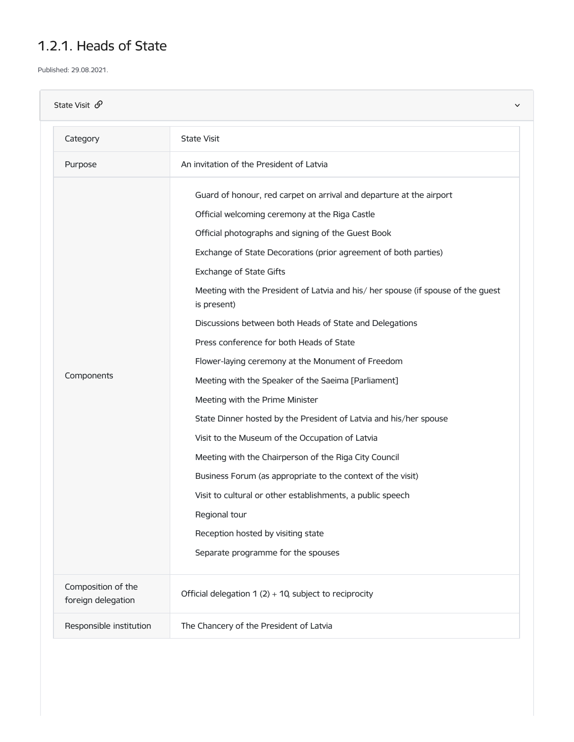## 1.2.1. Heads of State

Published: 29.08.2021.

| State Visit $\mathcal{O}$                | $\checkmark$                                                                                                                                                                                                                                                                                                                                                                                                                                                                                                                                                                                                                                                                                                                                                                                                                                                                                                                                                                                                                                  |
|------------------------------------------|-----------------------------------------------------------------------------------------------------------------------------------------------------------------------------------------------------------------------------------------------------------------------------------------------------------------------------------------------------------------------------------------------------------------------------------------------------------------------------------------------------------------------------------------------------------------------------------------------------------------------------------------------------------------------------------------------------------------------------------------------------------------------------------------------------------------------------------------------------------------------------------------------------------------------------------------------------------------------------------------------------------------------------------------------|
| Category                                 | <b>State Visit</b>                                                                                                                                                                                                                                                                                                                                                                                                                                                                                                                                                                                                                                                                                                                                                                                                                                                                                                                                                                                                                            |
| Purpose                                  | An invitation of the President of Latvia                                                                                                                                                                                                                                                                                                                                                                                                                                                                                                                                                                                                                                                                                                                                                                                                                                                                                                                                                                                                      |
| Components                               | Guard of honour, red carpet on arrival and departure at the airport<br>Official welcoming ceremony at the Riga Castle<br>Official photographs and signing of the Guest Book<br>Exchange of State Decorations (prior agreement of both parties)<br>Exchange of State Gifts<br>Meeting with the President of Latvia and his/ her spouse (if spouse of the guest<br>is present)<br>Discussions between both Heads of State and Delegations<br>Press conference for both Heads of State<br>Flower-laying ceremony at the Monument of Freedom<br>Meeting with the Speaker of the Saeima [Parliament]<br>Meeting with the Prime Minister<br>State Dinner hosted by the President of Latvia and his/her spouse<br>Visit to the Museum of the Occupation of Latvia<br>Meeting with the Chairperson of the Riga City Council<br>Business Forum (as appropriate to the context of the visit)<br>Visit to cultural or other establishments, a public speech<br>Regional tour<br>Reception hosted by visiting state<br>Separate programme for the spouses |
| Composition of the<br>foreign delegation | Official delegation $1(2) + 10$ , subject to reciprocity                                                                                                                                                                                                                                                                                                                                                                                                                                                                                                                                                                                                                                                                                                                                                                                                                                                                                                                                                                                      |
| Responsible institution                  | The Chancery of the President of Latvia                                                                                                                                                                                                                                                                                                                                                                                                                                                                                                                                                                                                                                                                                                                                                                                                                                                                                                                                                                                                       |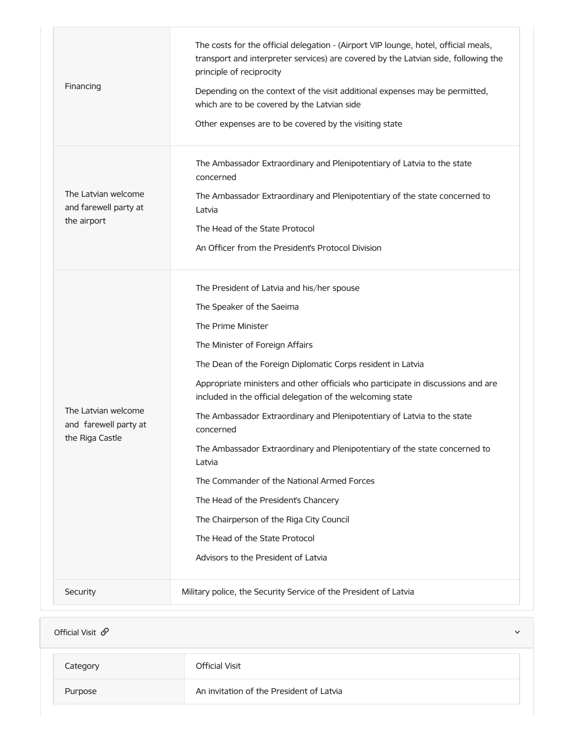| Financing                                                       | The costs for the official delegation - (Airport VIP lounge, hotel, official meals,<br>transport and interpreter services) are covered by the Latvian side, following the<br>principle of reciprocity<br>Depending on the context of the visit additional expenses may be permitted,<br>which are to be covered by the Latvian side<br>Other expenses are to be covered by the visiting state                                                                                                                                                                                                                                                                                                                                                |
|-----------------------------------------------------------------|----------------------------------------------------------------------------------------------------------------------------------------------------------------------------------------------------------------------------------------------------------------------------------------------------------------------------------------------------------------------------------------------------------------------------------------------------------------------------------------------------------------------------------------------------------------------------------------------------------------------------------------------------------------------------------------------------------------------------------------------|
| The Latvian welcome<br>and farewell party at<br>the airport     | The Ambassador Extraordinary and Plenipotentiary of Latvia to the state<br>concerned<br>The Ambassador Extraordinary and Plenipotentiary of the state concerned to<br>Latvia<br>The Head of the State Protocol<br>An Officer from the President's Protocol Division                                                                                                                                                                                                                                                                                                                                                                                                                                                                          |
| The Latvian welcome<br>and farewell party at<br>the Riga Castle | The President of Latvia and his/her spouse<br>The Speaker of the Saeima<br>The Prime Minister<br>The Minister of Foreign Affairs<br>The Dean of the Foreign Diplomatic Corps resident in Latvia<br>Appropriate ministers and other officials who participate in discussions and are<br>included in the official delegation of the welcoming state<br>The Ambassador Extraordinary and Plenipotentiary of Latvia to the state<br>concerned<br>The Ambassador Extraordinary and Plenipotentiary of the state concerned to<br>Latvia<br>The Commander of the National Armed Forces<br>The Head of the President's Chancery<br>The Chairperson of the Riga City Council<br>The Head of the State Protocol<br>Advisors to the President of Latvia |
| Security                                                        | Military police, the Security Service of the President of Latvia                                                                                                                                                                                                                                                                                                                                                                                                                                                                                                                                                                                                                                                                             |

| Official Visit $\mathcal{S}$ |                                          | $\checkmark$ |
|------------------------------|------------------------------------------|--------------|
| Category                     | <b>Official Visit</b>                    |              |
| Purpose                      | An invitation of the President of Latvia |              |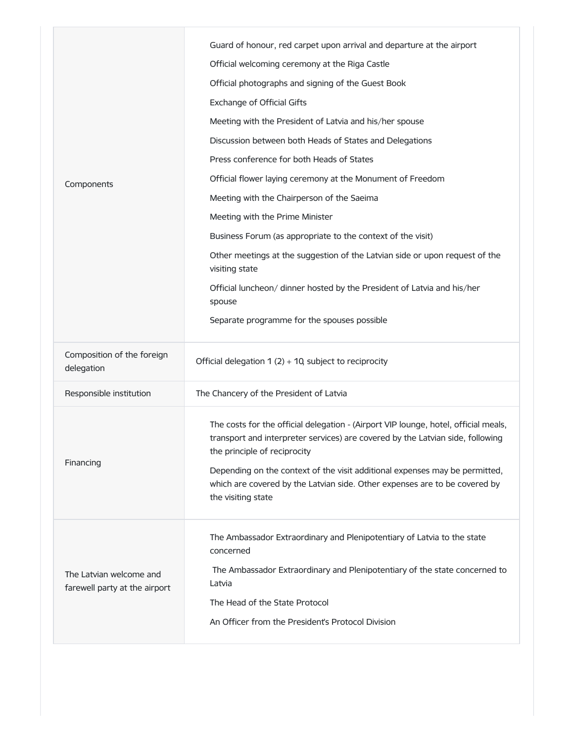|                                                          | Guard of honour, red carpet upon arrival and departure at the airport                                                                                                                                                                                                                                                                                                                    |
|----------------------------------------------------------|------------------------------------------------------------------------------------------------------------------------------------------------------------------------------------------------------------------------------------------------------------------------------------------------------------------------------------------------------------------------------------------|
|                                                          | Official welcoming ceremony at the Riga Castle                                                                                                                                                                                                                                                                                                                                           |
|                                                          | Official photographs and signing of the Guest Book                                                                                                                                                                                                                                                                                                                                       |
|                                                          | <b>Exchange of Official Gifts</b>                                                                                                                                                                                                                                                                                                                                                        |
|                                                          | Meeting with the President of Latvia and his/her spouse                                                                                                                                                                                                                                                                                                                                  |
|                                                          | Discussion between both Heads of States and Delegations                                                                                                                                                                                                                                                                                                                                  |
|                                                          | Press conference for both Heads of States                                                                                                                                                                                                                                                                                                                                                |
| Components                                               | Official flower laying ceremony at the Monument of Freedom                                                                                                                                                                                                                                                                                                                               |
|                                                          | Meeting with the Chairperson of the Saeima                                                                                                                                                                                                                                                                                                                                               |
|                                                          | Meeting with the Prime Minister                                                                                                                                                                                                                                                                                                                                                          |
|                                                          | Business Forum (as appropriate to the context of the visit)                                                                                                                                                                                                                                                                                                                              |
|                                                          | Other meetings at the suggestion of the Latvian side or upon request of the<br>visiting state                                                                                                                                                                                                                                                                                            |
|                                                          | Official luncheon/ dinner hosted by the President of Latvia and his/her<br>spouse                                                                                                                                                                                                                                                                                                        |
|                                                          | Separate programme for the spouses possible                                                                                                                                                                                                                                                                                                                                              |
| Composition of the foreign                               |                                                                                                                                                                                                                                                                                                                                                                                          |
| delegation                                               | Official delegation $1(2) + 10$ , subject to reciprocity                                                                                                                                                                                                                                                                                                                                 |
| Responsible institution                                  | The Chancery of the President of Latvia                                                                                                                                                                                                                                                                                                                                                  |
| Financing                                                | The costs for the official delegation - (Airport VIP lounge, hotel, official meals,<br>transport and interpreter services) are covered by the Latvian side, following<br>the principle of reciprocity<br>Depending on the context of the visit additional expenses may be permitted,<br>which are covered by the Latvian side. Other expenses are to be covered by<br>the visiting state |
|                                                          | The Ambassador Extraordinary and Plenipotentiary of Latvia to the state<br>concerned                                                                                                                                                                                                                                                                                                     |
| The Latvian welcome and<br>farewell party at the airport | The Ambassador Extraordinary and Plenipotentiary of the state concerned to<br>Latvia                                                                                                                                                                                                                                                                                                     |
|                                                          | The Head of the State Protocol                                                                                                                                                                                                                                                                                                                                                           |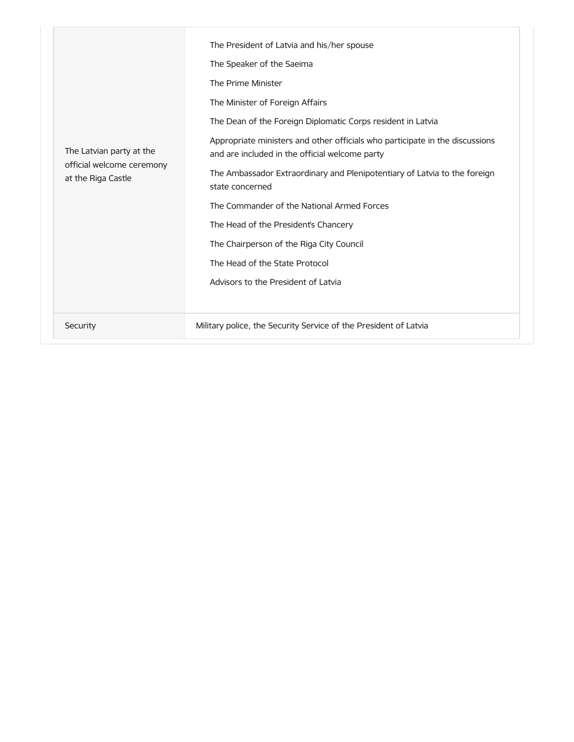| The Latvian party at the<br>official welcome ceremony<br>at the Riga Castle | The President of Latvia and his/her spouse<br>The Speaker of the Saeima<br>The Prime Minister<br>The Minister of Foreign Affairs<br>The Dean of the Foreign Diplomatic Corps resident in Latvia<br>Appropriate ministers and other officials who participate in the discussions<br>and are included in the official welcome party<br>The Ambassador Extraordinary and Plenipotentiary of Latvia to the foreign<br>state concerned<br>The Commander of the National Armed Forces<br>The Head of the President's Chancery<br>The Chairperson of the Riga City Council<br>The Head of the State Protocol<br>Advisors to the President of Latvia |
|-----------------------------------------------------------------------------|----------------------------------------------------------------------------------------------------------------------------------------------------------------------------------------------------------------------------------------------------------------------------------------------------------------------------------------------------------------------------------------------------------------------------------------------------------------------------------------------------------------------------------------------------------------------------------------------------------------------------------------------|
| Security                                                                    | Military police, the Security Service of the President of Latvia                                                                                                                                                                                                                                                                                                                                                                                                                                                                                                                                                                             |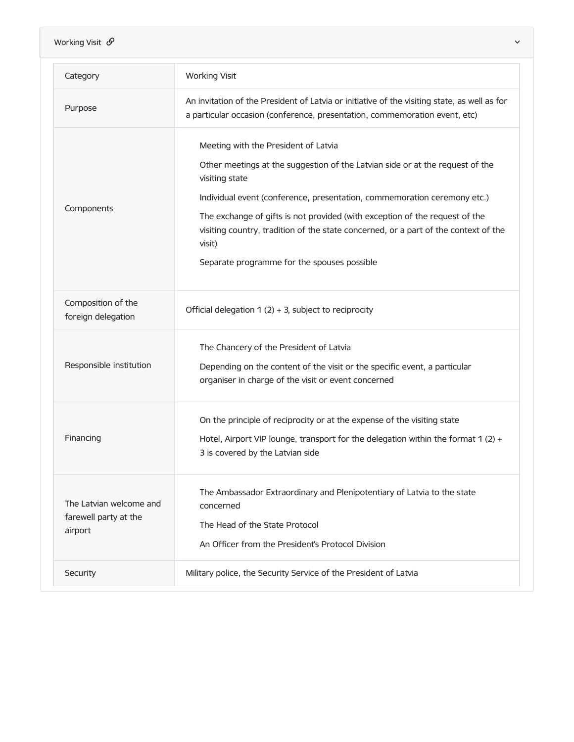| Working Visit $\mathcal{O}$                                 | $\checkmark$                                                                                                                                                                                                                                                                                                                                                                                                                                       |
|-------------------------------------------------------------|----------------------------------------------------------------------------------------------------------------------------------------------------------------------------------------------------------------------------------------------------------------------------------------------------------------------------------------------------------------------------------------------------------------------------------------------------|
| Category                                                    | <b>Working Visit</b>                                                                                                                                                                                                                                                                                                                                                                                                                               |
| Purpose                                                     | An invitation of the President of Latvia or initiative of the visiting state, as well as for<br>a particular occasion (conference, presentation, commemoration event, etc)                                                                                                                                                                                                                                                                         |
| Components                                                  | Meeting with the President of Latvia<br>Other meetings at the suggestion of the Latvian side or at the request of the<br>visiting state<br>Individual event (conference, presentation, commemoration ceremony etc.)<br>The exchange of gifts is not provided (with exception of the request of the<br>visiting country, tradition of the state concerned, or a part of the context of the<br>visit)<br>Separate programme for the spouses possible |
| Composition of the<br>foreign delegation                    | Official delegation $1(2) + 3$ , subject to reciprocity                                                                                                                                                                                                                                                                                                                                                                                            |
| Responsible institution                                     | The Chancery of the President of Latvia<br>Depending on the content of the visit or the specific event, a particular<br>organiser in charge of the visit or event concerned                                                                                                                                                                                                                                                                        |
| Financing                                                   | On the principle of reciprocity or at the expense of the visiting state<br>Hotel, Airport VIP lounge, transport for the delegation within the format 1 (2) $+$<br>3 is covered by the Latvian side                                                                                                                                                                                                                                                 |
| The Latvian welcome and<br>farewell party at the<br>airport | The Ambassador Extraordinary and Plenipotentiary of Latvia to the state<br>concerned<br>The Head of the State Protocol<br>An Officer from the President's Protocol Division                                                                                                                                                                                                                                                                        |
| Security                                                    | Military police, the Security Service of the President of Latvia                                                                                                                                                                                                                                                                                                                                                                                   |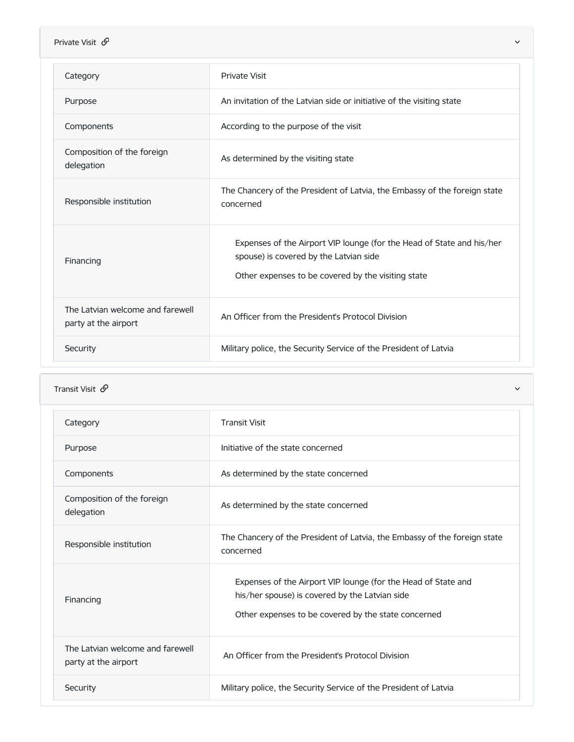| Private Visit $\mathcal{P}$                              | $\checkmark$                                                                                                                                                          |
|----------------------------------------------------------|-----------------------------------------------------------------------------------------------------------------------------------------------------------------------|
| Category                                                 | <b>Private Visit</b>                                                                                                                                                  |
| Purpose                                                  | An invitation of the Latvian side or initiative of the visiting state                                                                                                 |
| Components                                               | According to the purpose of the visit                                                                                                                                 |
| Composition of the foreign<br>delegation                 | As determined by the visiting state                                                                                                                                   |
| Responsible institution                                  | The Chancery of the President of Latvia, the Embassy of the foreign state<br>concerned                                                                                |
| Financing                                                | Expenses of the Airport VIP lounge (for the Head of State and his/her<br>spouse) is covered by the Latvian side<br>Other expenses to be covered by the visiting state |
| The Latvian welcome and farewell<br>party at the airport | An Officer from the President's Protocol Division                                                                                                                     |
| Security                                                 | Military police, the Security Service of the President of Latvia                                                                                                      |

## **Transit Visit**  $\mathscr{P}$

| Category                                                 | <b>Transit Visit</b>                                                                                                                                                   |
|----------------------------------------------------------|------------------------------------------------------------------------------------------------------------------------------------------------------------------------|
| Purpose                                                  | Initiative of the state concerned                                                                                                                                      |
| Components                                               | As determined by the state concerned                                                                                                                                   |
| Composition of the foreign<br>delegation                 | As determined by the state concerned                                                                                                                                   |
| Responsible institution                                  | The Chancery of the President of Latvia, the Embassy of the foreign state<br>concerned                                                                                 |
| Financing                                                | Expenses of the Airport VIP lounge (for the Head of State and<br>his/her spouse) is covered by the Latvian side<br>Other expenses to be covered by the state concerned |
| The Latvian welcome and farewell<br>party at the airport | An Officer from the President's Protocol Division                                                                                                                      |
| Security                                                 | Military police, the Security Service of the President of Latvia                                                                                                       |